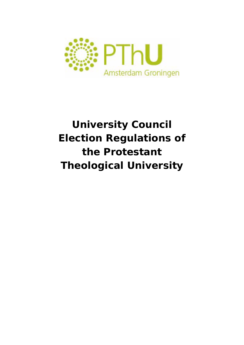

# **University Council Election Regulations of the Protestant Theological University**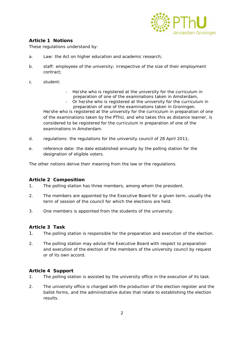

## **Article 1 Notions**

These regulations understand by:

- a. Law: the Act on higher education and academic research;
- b. staff: employees of the university; irrespective of the size of their employment contract;
- c. student:
- He/she who is registered at the university for the curriculum in preparation of one of the examinations taken in Amsterdam,
- Or he/she who is registered at the university for the curriculum in preparation of one of the examinations taken in Groningen.

He/she who is registered at the university for the curriculum in preparation of one of the examinations taken by the PThU, and who takes this as distance learner, is considered to be registered for the curriculum in preparation of one of the examinations in Amsterdam.

- d. regulations: the regulations for the university council of 28 April 2011;
- e. reference date: the date established annually by the polling station for the designation of eligible voters.

The other notions derive their meaning from the law or the regulations.

#### **Article 2 Composition**

- 1. The polling station has three members, among whom the president.
- 2. The members are appointed by the Executive Board for a given term, usually the term of session of the council for which the elections are held.
- 3. One members is appointed from the students of the university.

#### **Article 3 Task**

- 1. The polling station is responsible for the preparation and execution of the election.
- 2. The polling station may advise the Executive Board with respect to preparation and execution of the election of the members of the university council by request or of its own accord.

#### **Article 4 Support**

- 1. The polling station is assisted by the university office in the execution of its task.
- 2. The university office is charged with the production of the election register and the ballot forms, and the administrative duties that relate to establishing the election results.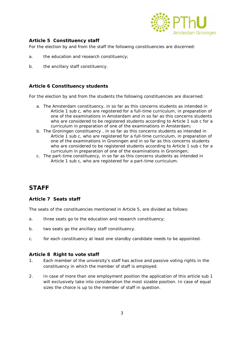

## **Article 5 Constituency staff**

For the election by and from the staff the following constituencies are discerned:

- a. the education and research constituency;
- b. the ancillary staff constituency.

#### **Article 6 Constituency students**

For the election by and from the students the following constituencies are discerned:

- a. The Amsterdam constituency, in so far as this concerns students as intended in Article 1 sub c, who are registered for a full-time curriculum, in preparation of one of the examinations in Amsterdam and in so far as this concerns students who are considered to be registered students according to Article 1 sub c for a curriculum in preparation of one of the examinations in Amsterdam;
- b. The Groningen constituency , in so far as this concerns students as intended in Article 1 sub c, who are registered for a full-time curriculum, in preparation of one of the examinations in Groningen and in so far as this concerns students who are considered to be registered students according to Article 1 sub c for a curriculum in preparation of one of the examinations in Groningen;
- c. The part-time constituency, in so far as this concerns students as intended in Article 1 sub c, who are registered for a part-time curriculum.

# **STAFF**

#### **Article 7 Seats staff**

The seats of the constituencies mentioned in Article 5, are divided as follows:

- a. three seats go to the education and research constituency;
- b. two seats go the ancillary staff constituency.
- c. for each constituency at least one standby candidate needs to be appointed.

#### **Article 8 Right to vote staff**

- 1. Each member of the university's staff has active and passive voting rights in the constituency in which the member of staff is employed.
- 2. In case of more than one employment position the application of this article sub 1 will exclusively take into consideration the most sizable position. In case of equal sizes the choice is up to the member of staff in question.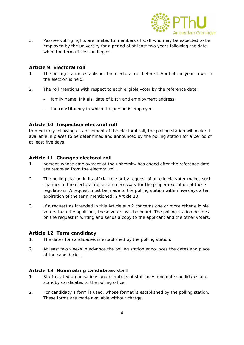

3. Passive voting rights are limited to members of staff who may be expected to be employed by the university for a period of at least two years following the date when the term of session begins.

## **Article 9 Electoral roll**

- 1. The polling station establishes the electoral roll before 1 April of the year in which the election is held.
- 2. The roll mentions with respect to each eligible voter by the reference date:
	- family name, initials, date of birth and employment address;
	- the constituency in which the person is employed.

## **Article 10 Inspection electoral roll**

Immediately following establishment of the electoral roll, the polling station will make it available in places to be determined and announced by the polling station for a period of at least five days.

## **Article 11 Changes electoral roll**

- 1. persons whose employment at the university has ended after the reference date are removed from the electoral roll.
- 2. The polling station in its official role or by request of an eligible voter makes such changes in the electoral roll as are necessary for the proper execution of these regulations. A request must be made to the polling station within five days after expiration of the term mentioned in Article 10.
- 3. If a request as intended in this Article sub 2 concerns one or more other eligible voters than the applicant, these voters will be heard. The polling station decides on the request in writing and sends a copy to the applicant and the other voters.

#### **Article 12 Term candidacy**

- 1. The dates for candidacies is established by the polling station.
- 2. At least two weeks in advance the polling station announces the dates and place of the candidacies.

#### **Article 13 Nominating candidates staff**

- 1. Staff-related organisations and members of staff may nominate candidates and standby candidates to the polling office.
- 2. For candidacy a form is used, whose format is established by the polling station. These forms are made available without charge.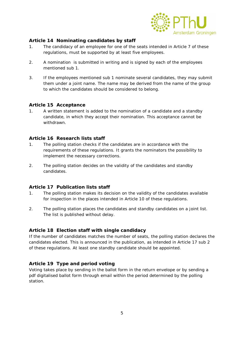

## **Article 14 Nominating candidates by staff**

- 1. The candidacy of an employee for one of the seats intended in Article 7 of these regulations, must be supported by at least five employees.
- 2. A nomination is submitted in writing and is signed by each of the employees mentioned sub 1.
- 3. If the employees mentioned sub 1 nominate several candidates, they may submit them under a joint name. The name may be derived from the name of the group to which the candidates should be considered to belong.

#### **Article 15 Acceptance**

1. A written statement is added to the nomination of a candidate and a standby candidate, in which they accept their nomination. This acceptance cannot be withdrawn.

#### **Article 16 Research lists staff**

- 1. The polling station checks if the candidates are in accordance with the requirements of these regulations. It grants the nominators the possibility to implement the necessary corrections.
- 2. The polling station decides on the validity of the candidates and standby candidates.

#### **Article 17 Publication lists staff**

- 1. The polling station makes its decision on the validity of the candidates available for inspection in the places intended in Article 10 of these regulations.
- 2. The polling station places the candidates and standby candidates on a joint list. The list is published without delay.

#### **Article 18 Election staff with single candidacy**

If the number of candidates matches the number of seats, the polling station declares the candidates elected. This is announced in the publication, as intended in Article 17 sub 2 of these regulations. At least one standby candidate should be appointed.

#### **Article 19 Type and period voting**

Voting takes place by sending in the ballot form in the return envelope or by sending a pdf digitalised ballot form through email within the period determined by the polling station.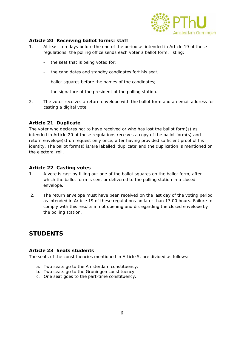

## **Article 20 Receiving ballot forms: staff**

- 1. At least ten days before the end of the period as intended in Article 19 of these regulations, the polling office sends each voter a ballot form, listing:
	- the seat that is being voted for;
	- the candidates and standby candidates fort his seat;
	- ballot squares before the names of the candidates;
	- the signature of the president of the polling station.
- 2. The voter receives a return envelope with the ballot form and an email address for casting a digital vote.

#### **Article 21 Duplicate**

The voter who declares not to have received or who has lost the ballot form(s) as intended in Article 20 of these regulations receives a copy of the ballot form(s) and return envelope(s) on request only once, after having provided sufficient proof of his identity. The ballot form(s) is/are labelled 'duplicate' and the duplication is mentioned on the electoral roll.

#### **Article 22 Casting votes**

- 1. A vote is cast by filling out one of the ballot squares on the ballot form, after which the ballot form is sent or delivered to the polling station in a closed envelope.
- 2. The return envelope must have been received on the last day of the voting period as intended in Article 19 of these regulations no later than 17.00 hours. Failure to comply with this results in not opening and disregarding the closed envelope by the polling station.

## **STUDENTS**

#### **Article 23 Seats students**

The seats of the constituencies mentioned in Article 5, are divided as follows:

- a. Two seats go to the Amsterdam constituency;
- b. Two seats go to the Groningen constituency;
- c. One seat goes to the part-time constituency.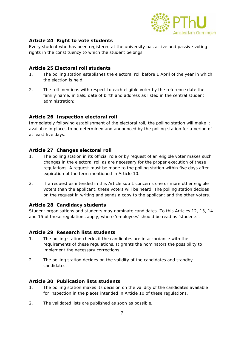

## **Article 24 Right to vote students**

Every student who has been registered at the university has active and passive voting rights in the constituency to which the student belongs.

## **Article 25 Electoral roll students**

- 1. The polling station establishes the electoral roll before 1 April of the year in which the election is held.
- 2. The roll mentions with respect to each eligible voter by the reference date the family name, initials, date of birth and address as listed in the central student administration;

## **Article 26 Inspection electoral roll**

Immediately following establishment of the electoral roll, the polling station will make it available in places to be determined and announced by the polling station for a period of at least five days.

## **Article 27 Changes electoral roll**

- 1. The polling station in its official role or by request of an eligible voter makes such changes in the electoral roll as are necessary for the proper execution of these regulations. A request must be made to the polling station within five days after expiration of the term mentioned in Article 10.
- 2. If a request as intended in this Article sub 1 concerns one or more other eligible voters than the applicant, these voters will be heard. The polling station decides on the request in writing and sends a copy to the applicant and the other voters.

#### **Article 28 Candidacy students**

Student organisations and students may nominate candidates. To this Articles 12, 13, 14 and 15 of these regulations apply, where 'employees' should be read as 'students'.

#### **Article 29 Research lists students**

- 1. The polling station checks if the candidates are in accordance with the requirements of these regulations. It grants the nominators the possibility to implement the necessary corrections.
- 2. The polling station decides on the validity of the candidates and standby candidates.

#### **Article 30 Publication lists students**

- 1. The polling station makes its decision on the validity of the candidates available for inspection in the places intended in Article 10 of these regulations.
- 2. The validated lists are published as soon as possible.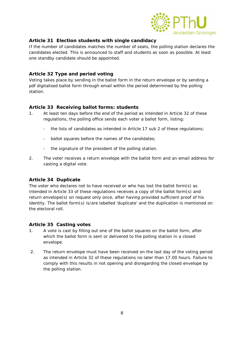

## **Article 31 Election students with single candidacy**

If the number of candidates matches the number of seats, the polling station declares the candidates elected. This is announced to staff and students as soon as possible. At least one standby candidate should be appointed.

## **Article 32 Type and period voting**

Voting takes place by sending in the ballot form in the return envelope or by sending a pdf digitalised ballot form through email within the period determined by the polling station.

## **Article 33 Receiving ballot forms: students**

- 1. At least ten days before the end of the period as intended in Article 32 of these regulations, the polling office sends each voter a ballot form, listing:
	- the lists of candidates as intended in Article 17 sub 2 of these regulations;
	- ballot squares before the names of the candidates;
	- the signature of the president of the polling station.
- 2. The voter receives a return envelope with the ballot form and an email address for casting a digital vote.

#### **Article 34 Duplicate**

The voter who declares not to have received or who has lost the ballot form(s) as intended in Article 33 of these regulations receives a copy of the ballot form(s) and return envelope(s) on request only once, after having provided sufficient proof of his identity. The ballot form(s) is/are labelled 'duplicate' and the duplication is mentioned on the electoral roll.

#### **Article 35 Casting votes**

- 1. A vote is cast by filling out one of the ballot squares on the ballot form, after which the ballot form is sent or delivered to the polling station in a closed envelope.
- 2. The return envelope must have been received on the last day of the voting period as intended in Article 32 of these regulations no later than 17.00 hours. Failure to comply with this results in not opening and disregarding the closed envelope by the polling station.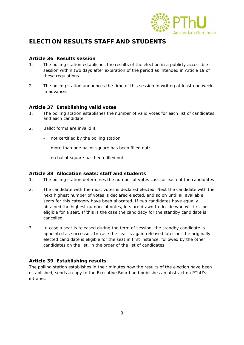

# **ELECTION RESULTS STAFF AND STUDENTS**

## **Article 36 Results session**

- 1. The polling station establishes the results of the election in a publicly accessible session within two days after expiration of the period as intended in Article 19 of these regulations.
- 2. The polling station announces the time of this session in writing at least one week in advance.

## **Article 37 Establishing valid votes**

- 1. The polling station establishes the number of valid votes for each list of candidates and each candidate.
- 2. Ballot forms are invalid if:
	- not certified by the polling station;
	- more than one ballot square has been filled out;
	- no ballot square has been filled out.

#### **Article 38 Allocation seats: staff and students**

- 1. The polling station determines the number of votes cast for each of the candidates
- 2. The candidate with the most votes is declared elected. Next the candidate with the next highest number of votes is declared elected, and so on until all available seats for this category have been allocated. If two candidates have equally obtained the highest number of votes, lots are drawn to decide who will first be eligible for a seat. If this is the case the candidacy for the standby candidate is cancelled.
- 3. In case a seat is released during the term of session, the standby candidate is appointed as successor. In case the seat is again released later on, the originally elected candidate is eligible for the seat in first instance, followed by the other candidates on the list, in the order of the list of candidates.

#### **Article 39 Establishing results**

The polling station establishes in their minutes how the results of the election have been established, sends a copy to the Executive Board and publishes an abstract on PThU's intranet.